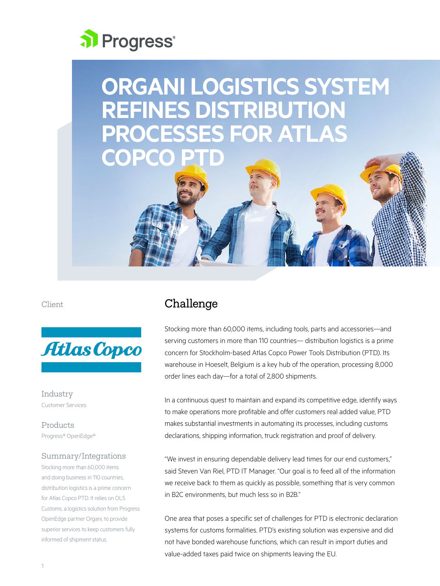# al Progress<sup>®</sup>

## **ORGANI LOGISTICS SYSTEM REFINES DISTRIBUTION PROCESSES FOR ATLAS COPC**





Industry Customer Services

Products Progress® OpenEdge®

#### Summary/Integrations

Stocking more than 60,000 items and doing business in 110 countries, distribution logistics is a prime concern for Atlas Copco PTD. It relies on OLS Customs, a logistics solution from Progress OpenEdge partner Organi, to provide superior services to keep customers fully informed of shipment status.

## Challenge

Stocking more than 60,000 items, including tools, parts and accessories—and serving customers in more than 110 countries— distribution logistics is a prime concern for Stockholm-based Atlas Copco Power Tools Distribution (PTD). Its warehouse in Hoeselt, Belgium is a key hub of the operation, processing 8,000 order lines each day—for a total of 2,800 shipments.

In a continuous quest to maintain and expand its competitive edge, identify ways to make operations more profitable and offer customers real added value, PTD makes substantial investments in automating its processes, including customs declarations, shipping information, truck registration and proof of delivery.

"We invest in ensuring dependable delivery lead times for our end customers," said Steven Van Riel, PTD IT Manager. "Our goal is to feed all of the information we receive back to them as quickly as possible, something that is very common in B2C environments, but much less so in B2B"

One area that poses a specific set of challenges for PTD is electronic declaration systems for customs formalities. PTD's existing solution was expensive and did not have bonded warehouse functions, which can result in import duties and value-added taxes paid twice on shipments leaving the EU.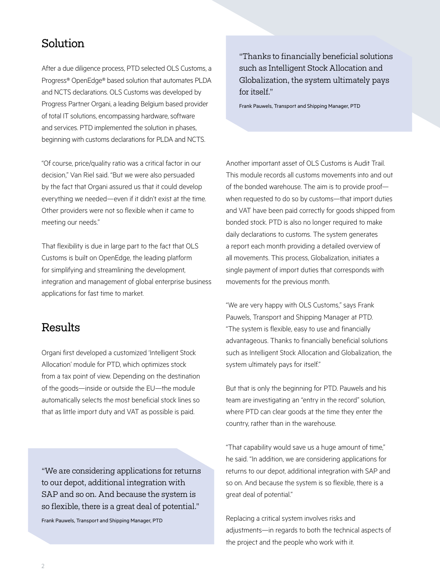## Solution

After a due diligence process, PTD selected OLS Customs, a Progress® OpenEdge® based solution that automates PLDA and NCTS declarations. OLS Customs was developed by Progress Partner Organi, a leading Belgium based provider of total IT solutions, encompassing hardware, software and services. PTD implemented the solution in phases, beginning with customs declarations for PLDA and NCTS.

"Of course, price/quality ratio was a critical factor in our decision," Van Riel said. "But we were also persuaded by the fact that Organi assured us that it could develop everything we needed—even if it didn't exist at the time. Other providers were not so flexible when it came to meeting our needs."

That flexibility is due in large part to the fact that OLS Customs is built on OpenEdge, the leading platform for simplifying and streamlining the development, integration and management of global enterprise business applications for fast time to market.

### Results

Organi first developed a customized 'Intelligent Stock Allocation' module for PTD, which optimizes stock from a tax point of view. Depending on the destination of the goods—inside or outside the EU—the module automatically selects the most beneficial stock lines so that as little import duty and VAT as possible is paid.

"We are considering applications for returns to our depot, additional integration with SAP and so on. And because the system is so flexible, there is a great deal of potential."

Frank Pauwels, Transport and Shipping Manager, PTD

"Thanks to financially beneficial solutions such as Intelligent Stock Allocation and Globalization, the system ultimately pays for itself."

Frank Pauwels, Transport and Shipping Manager, PTD

Another important asset of OLS Customs is Audit Trail. This module records all customs movements into and out of the bonded warehouse. The aim is to provide proof when requested to do so by customs—that import duties and VAT have been paid correctly for goods shipped from bonded stock. PTD is also no longer required to make daily declarations to customs. The system generates a report each month providing a detailed overview of all movements. This process, Globalization, initiates a single payment of import duties that corresponds with movements for the previous month.

"We are very happy with OLS Customs," says Frank Pauwels, Transport and Shipping Manager at PTD. "The system is flexible, easy to use and financially advantageous. Thanks to financially beneficial solutions such as Intelligent Stock Allocation and Globalization, the system ultimately pays for itself."

But that is only the beginning for PTD. Pauwels and his team are investigating an "entry in the record" solution, where PTD can clear goods at the time they enter the country, rather than in the warehouse.

"That capability would save us a huge amount of time," he said. "In addition, we are considering applications for returns to our depot, additional integration with SAP and so on. And because the system is so flexible, there is a great deal of potential."

Replacing a critical system involves risks and adjustments—in regards to both the technical aspects of the project and the people who work with it.